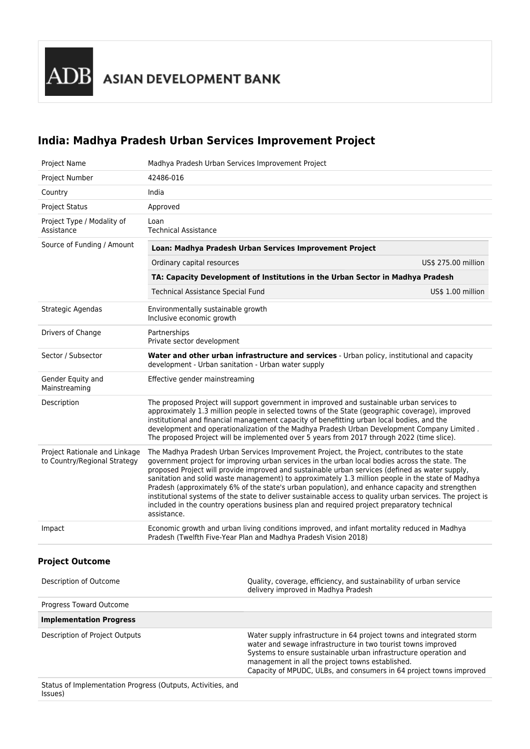$\overline{\text{DB}}$  asian development bank

# **India: Madhya Pradesh Urban Services Improvement Project**

| Project Name                                                  | Madhya Pradesh Urban Services Improvement Project                                                                                                                                                                                                                                                                                                                                                                                                                                                                                                                                                                                                                                                                                      |                                                                                                                                                                                                                                                               |                     |
|---------------------------------------------------------------|----------------------------------------------------------------------------------------------------------------------------------------------------------------------------------------------------------------------------------------------------------------------------------------------------------------------------------------------------------------------------------------------------------------------------------------------------------------------------------------------------------------------------------------------------------------------------------------------------------------------------------------------------------------------------------------------------------------------------------------|---------------------------------------------------------------------------------------------------------------------------------------------------------------------------------------------------------------------------------------------------------------|---------------------|
| Project Number                                                | 42486-016                                                                                                                                                                                                                                                                                                                                                                                                                                                                                                                                                                                                                                                                                                                              |                                                                                                                                                                                                                                                               |                     |
| Country                                                       | India                                                                                                                                                                                                                                                                                                                                                                                                                                                                                                                                                                                                                                                                                                                                  |                                                                                                                                                                                                                                                               |                     |
| <b>Project Status</b>                                         | Approved                                                                                                                                                                                                                                                                                                                                                                                                                                                                                                                                                                                                                                                                                                                               |                                                                                                                                                                                                                                                               |                     |
| Project Type / Modality of<br>Assistance                      | Loan<br><b>Technical Assistance</b>                                                                                                                                                                                                                                                                                                                                                                                                                                                                                                                                                                                                                                                                                                    |                                                                                                                                                                                                                                                               |                     |
| Source of Funding / Amount                                    | Loan: Madhya Pradesh Urban Services Improvement Project                                                                                                                                                                                                                                                                                                                                                                                                                                                                                                                                                                                                                                                                                |                                                                                                                                                                                                                                                               |                     |
|                                                               | Ordinary capital resources                                                                                                                                                                                                                                                                                                                                                                                                                                                                                                                                                                                                                                                                                                             |                                                                                                                                                                                                                                                               | US\$ 275.00 million |
|                                                               | TA: Capacity Development of Institutions in the Urban Sector in Madhya Pradesh                                                                                                                                                                                                                                                                                                                                                                                                                                                                                                                                                                                                                                                         |                                                                                                                                                                                                                                                               |                     |
|                                                               | <b>Technical Assistance Special Fund</b>                                                                                                                                                                                                                                                                                                                                                                                                                                                                                                                                                                                                                                                                                               |                                                                                                                                                                                                                                                               | US\$ 1.00 million   |
| Strategic Agendas                                             | Environmentally sustainable growth<br>Inclusive economic growth                                                                                                                                                                                                                                                                                                                                                                                                                                                                                                                                                                                                                                                                        |                                                                                                                                                                                                                                                               |                     |
| Drivers of Change                                             | Partnerships<br>Private sector development                                                                                                                                                                                                                                                                                                                                                                                                                                                                                                                                                                                                                                                                                             |                                                                                                                                                                                                                                                               |                     |
| Sector / Subsector                                            | development - Urban sanitation - Urban water supply                                                                                                                                                                                                                                                                                                                                                                                                                                                                                                                                                                                                                                                                                    | Water and other urban infrastructure and services - Urban policy, institutional and capacity                                                                                                                                                                  |                     |
| Gender Equity and<br>Mainstreaming                            | Effective gender mainstreaming                                                                                                                                                                                                                                                                                                                                                                                                                                                                                                                                                                                                                                                                                                         |                                                                                                                                                                                                                                                               |                     |
| Description                                                   | The proposed Project will support government in improved and sustainable urban services to<br>approximately 1.3 million people in selected towns of the State (geographic coverage), improved<br>institutional and financial management capacity of benefitting urban local bodies, and the<br>development and operationalization of the Madhya Pradesh Urban Development Company Limited.<br>The proposed Project will be implemented over 5 years from 2017 through 2022 (time slice).                                                                                                                                                                                                                                               |                                                                                                                                                                                                                                                               |                     |
| Project Rationale and Linkage<br>to Country/Regional Strategy | The Madhya Pradesh Urban Services Improvement Project, the Project, contributes to the state<br>government project for improving urban services in the urban local bodies across the state. The<br>proposed Project will provide improved and sustainable urban services (defined as water supply,<br>sanitation and solid waste management) to approximately 1.3 million people in the state of Madhya<br>Pradesh (approximately 6% of the state's urban population), and enhance capacity and strengthen<br>institutional systems of the state to deliver sustainable access to quality urban services. The project is<br>included in the country operations business plan and required project preparatory technical<br>assistance. |                                                                                                                                                                                                                                                               |                     |
| Impact                                                        |                                                                                                                                                                                                                                                                                                                                                                                                                                                                                                                                                                                                                                                                                                                                        | Economic growth and urban living conditions improved, and infant mortality reduced in Madhya<br>Pradesh (Twelfth Five-Year Plan and Madhya Pradesh Vision 2018)                                                                                               |                     |
| <b>Project Outcome</b>                                        |                                                                                                                                                                                                                                                                                                                                                                                                                                                                                                                                                                                                                                                                                                                                        |                                                                                                                                                                                                                                                               |                     |
| Description of Outcome                                        |                                                                                                                                                                                                                                                                                                                                                                                                                                                                                                                                                                                                                                                                                                                                        | Quality, coverage, efficiency, and sustainability of urban service<br>delivery improved in Madhya Pradesh                                                                                                                                                     |                     |
| Progress Toward Outcome                                       |                                                                                                                                                                                                                                                                                                                                                                                                                                                                                                                                                                                                                                                                                                                                        |                                                                                                                                                                                                                                                               |                     |
| <b>Implementation Progress</b>                                |                                                                                                                                                                                                                                                                                                                                                                                                                                                                                                                                                                                                                                                                                                                                        |                                                                                                                                                                                                                                                               |                     |
| Description of Project Outputs                                |                                                                                                                                                                                                                                                                                                                                                                                                                                                                                                                                                                                                                                                                                                                                        | Water supply infrastructure in 64 project towns and integrated storm<br>water and sewage infrastructure in two tourist towns improved<br>Systems to ensure sustainable urban infrastructure operation and<br>management in all the project towns established. |                     |

Capacity of MPUDC, ULBs, and consumers in 64 project towns improved

Status of Implementation Progress (Outputs, Activities, and Issues)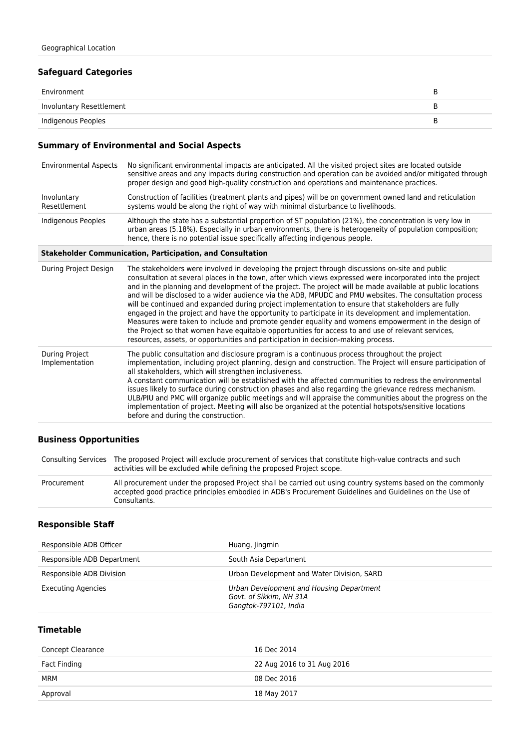#### **Safeguard Categories**

| Environment              | ◡ |
|--------------------------|---|
| Involuntary Resettlement |   |
| Indigenous Peoples       | ◡ |

#### **Summary of Environmental and Social Aspects**

| <b>Environmental Aspects</b> | No significant environmental impacts are anticipated. All the visited project sites are located outside<br>sensitive areas and any impacts during construction and operation can be avoided and/or mitigated through<br>proper design and good high-quality construction and operations and maintenance practices. |
|------------------------------|--------------------------------------------------------------------------------------------------------------------------------------------------------------------------------------------------------------------------------------------------------------------------------------------------------------------|
| Involuntary<br>Resettlement  | Construction of facilities (treatment plants and pipes) will be on government owned land and reticulation<br>systems would be along the right of way with minimal disturbance to livelihoods.                                                                                                                      |
| Indigenous Peoples           | Although the state has a substantial proportion of ST population (21%), the concentration is very low in<br>urban areas (5.18%). Especially in urban environments, there is heterogeneity of population composition;                                                                                               |

hence, there is no potential issue specifically affecting indigenous people.

#### **Stakeholder Communication, Participation, and Consultation**

| During Project Design            | The stakeholders were involved in developing the project through discussions on-site and public<br>consultation at several places in the town, after which views expressed were incorporated into the project<br>and in the planning and development of the project. The project will be made available at public locations<br>and will be disclosed to a wider audience via the ADB, MPUDC and PMU websites. The consultation process<br>will be continued and expanded during project implementation to ensure that stakeholders are fully<br>engaged in the project and have the opportunity to participate in its development and implementation.<br>Measures were taken to include and promote gender equality and womens empowerment in the design of<br>the Project so that women have equitable opportunities for access to and use of relevant services,<br>resources, assets, or opportunities and participation in decision-making process. |
|----------------------------------|--------------------------------------------------------------------------------------------------------------------------------------------------------------------------------------------------------------------------------------------------------------------------------------------------------------------------------------------------------------------------------------------------------------------------------------------------------------------------------------------------------------------------------------------------------------------------------------------------------------------------------------------------------------------------------------------------------------------------------------------------------------------------------------------------------------------------------------------------------------------------------------------------------------------------------------------------------|
| During Project<br>Implementation | The public consultation and disclosure program is a continuous process throughout the project<br>implementation, including project planning, design and construction. The Project will ensure participation of<br>all stakeholders, which will strengthen inclusiveness.<br>A constant communication will be established with the affected communities to redress the environmental<br>issues likely to surface during construction phases and also regarding the grievance redress mechanism.<br>ULB/PIU and PMC will organize public meetings and will appraise the communities about the progress on the<br>implementation of project. Meeting will also be organized at the potential hotspots/sensitive locations<br>before and during the construction.                                                                                                                                                                                          |

## **Business Opportunities**

|             | Consulting Services The proposed Project will exclude procurement of services that constitute high-value contracts and such<br>activities will be excluded while defining the proposed Project scope.                                  |
|-------------|----------------------------------------------------------------------------------------------------------------------------------------------------------------------------------------------------------------------------------------|
| Procurement | All procurement under the proposed Project shall be carried out using country systems based on the commonly<br>accepted good practice principles embodied in ADB's Procurement Guidelines and Guidelines on the Use of<br>Consultants. |

#### **Responsible Staff**

| Responsible ADB Officer    | Huang, Jingmin                                                                               |
|----------------------------|----------------------------------------------------------------------------------------------|
| Responsible ADB Department | South Asia Department                                                                        |
| Responsible ADB Division   | Urban Development and Water Division, SARD                                                   |
| <b>Executing Agencies</b>  | Urban Development and Housing Department<br>Govt. of Sikkim, NH 31A<br>Gangtok-797101, India |

### **Timetable**

| Concept Clearance | 16 Dec 2014                |
|-------------------|----------------------------|
| Fact Finding      | 22 Aug 2016 to 31 Aug 2016 |
| <b>MRM</b>        | 08 Dec 2016                |
| Approval          | 18 May 2017                |